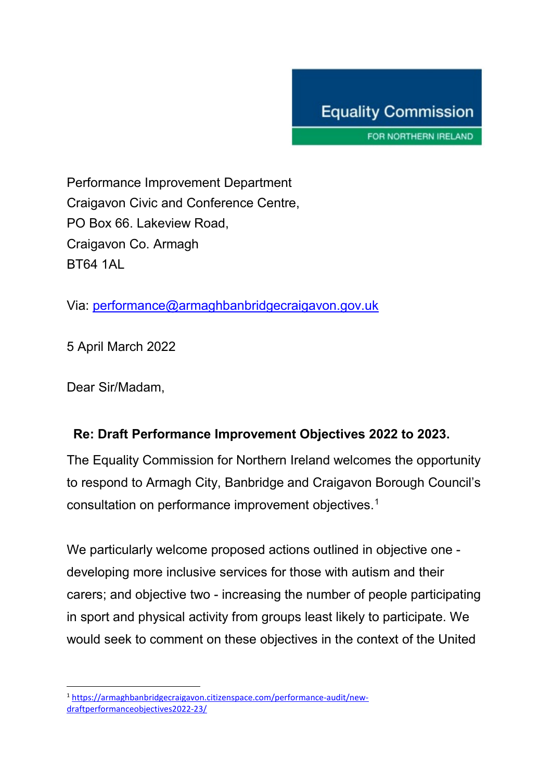FOR NORTHERN IRELAND

Performance Improvement Department Craigavon Civic and Conference Centre, PO Box 66. Lakeview Road, Craigavon Co. Armagh BT64 1AL

Via: [performance@armaghbanbridgecraigavon.gov.uk](mailto:performance@armaghbanbridgecraigavon.gov.uk)

5 April March 2022

Dear Sir/Madam,

## **Re: Draft Performance Improvement Objectives 2022 to 2023.**

The Equality Commission for Northern Ireland welcomes the opportunity to respond to Armagh City, Banbridge and Craigavon Borough Council's consultation on performance improvement objectives.[1](#page-0-0)

We particularly welcome proposed actions outlined in objective one developing more inclusive services for those with autism and their carers; and objective two - increasing the number of people participating in sport and physical activity from groups least likely to participate. We would seek to comment on these objectives in the context of the United

<span id="page-0-0"></span>**<sup>.</sup>** <sup>1</sup> [https://armaghbanbridgecraigavon.citizenspace.com/performance-audit/new](https://armaghbanbridgecraigavon.citizenspace.com/performance-audit/new-draftperformanceobjectives2022-23/)[draftperformanceobjectives2022-23/](https://armaghbanbridgecraigavon.citizenspace.com/performance-audit/new-draftperformanceobjectives2022-23/)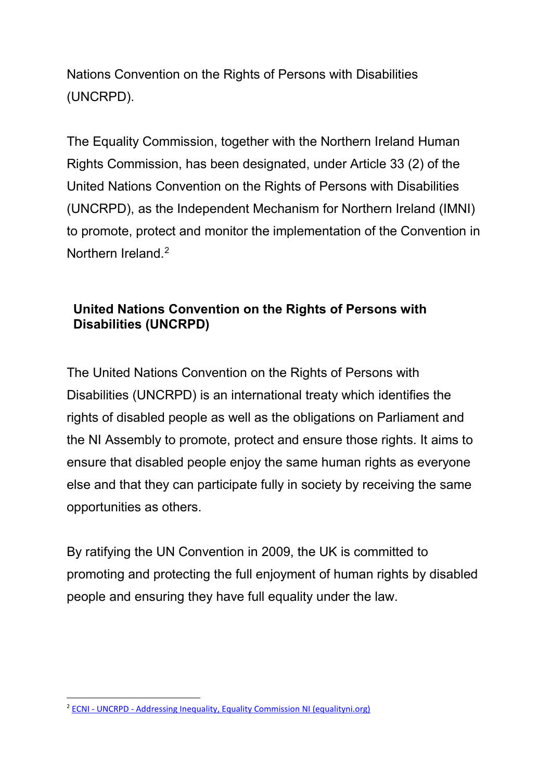Nations Convention on the Rights of Persons with Disabilities (UNCRPD).

The Equality Commission, together with the Northern Ireland Human Rights Commission, has been designated, under Article 33 (2) of the United Nations Convention on the Rights of Persons with Disabilities (UNCRPD), as the Independent Mechanism for Northern Ireland (IMNI) to promote, protect and monitor the implementation of the Convention in Northern Ireland.[2](#page-1-0)

## **United Nations Convention on the Rights of Persons with Disabilities (UNCRPD)**

The United Nations Convention on the Rights of Persons with Disabilities (UNCRPD) is an international treaty which identifies the rights of disabled people as well as the obligations on Parliament and the NI Assembly to promote, protect and ensure those rights. It aims to ensure that disabled people enjoy the same human rights as everyone else and that they can participate fully in society by receiving the same opportunities as others.

By ratifying the UN Convention in 2009, the UK is committed to promoting and protecting the full enjoyment of human rights by disabled people and ensuring they have full equality under the law.

<span id="page-1-0"></span> $\overline{a}$ <sup>2</sup> ECNI - UNCRPD - Addressing Inequality, Equality Commission NI (equalityni.org)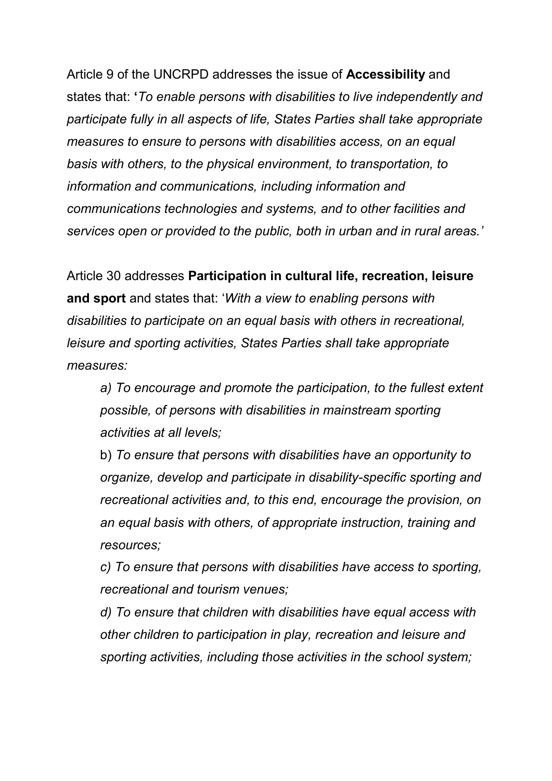Article 9 of the UNCRPD addresses the issue of **Accessibility** and states that: **'***To enable persons with disabilities to live independently and participate fully in all aspects of life, States Parties shall take appropriate measures to ensure to persons with disabilities access, on an equal basis with others, to the physical environment, to transportation, to information and communications, including information and communications technologies and systems, and to other facilities and services open or provided to the public, both in urban and in rural areas.'*

Article 30 addresses **Participation in cultural life, recreation, leisure and sport** and states that: '*With a view to enabling persons with disabilities to participate on an equal basis with others in recreational, leisure and sporting activities, States Parties shall take appropriate measures:*

*a) To encourage and promote the participation, to the fullest extent possible, of persons with disabilities in mainstream sporting activities at all levels;*

b) *To ensure that persons with disabilities have an opportunity to organize, develop and participate in disability-specific sporting and recreational activities and, to this end, encourage the provision, on an equal basis with others, of appropriate instruction, training and resources;*

*c) To ensure that persons with disabilities have access to sporting, recreational and tourism venues;*

*d) To ensure that children with disabilities have equal access with other children to participation in play, recreation and leisure and sporting activities, including those activities in the school system;*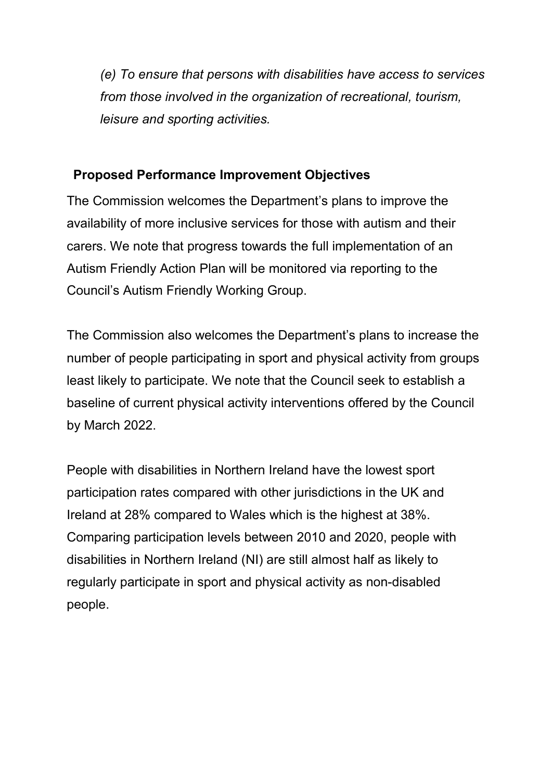*(e) To ensure that persons with disabilities have access to services from those involved in the organization of recreational, tourism, leisure and sporting activities.*

## **Proposed Performance Improvement Objectives**

The Commission welcomes the Department's plans to improve the availability of more inclusive services for those with autism and their carers. We note that progress towards the full implementation of an Autism Friendly Action Plan will be monitored via reporting to the Council's Autism Friendly Working Group.

The Commission also welcomes the Department's plans to increase the number of people participating in sport and physical activity from groups least likely to participate. We note that the Council seek to establish a baseline of current physical activity interventions offered by the Council by March 2022.

People with disabilities in Northern Ireland have the lowest sport participation rates compared with other jurisdictions in the UK and Ireland at 28% compared to Wales which is the highest at 38%. Comparing participation levels between 2010 and 2020, people with disabilities in Northern Ireland (NI) are still almost half as likely to regularly participate in sport and physical activity as non-disabled people.